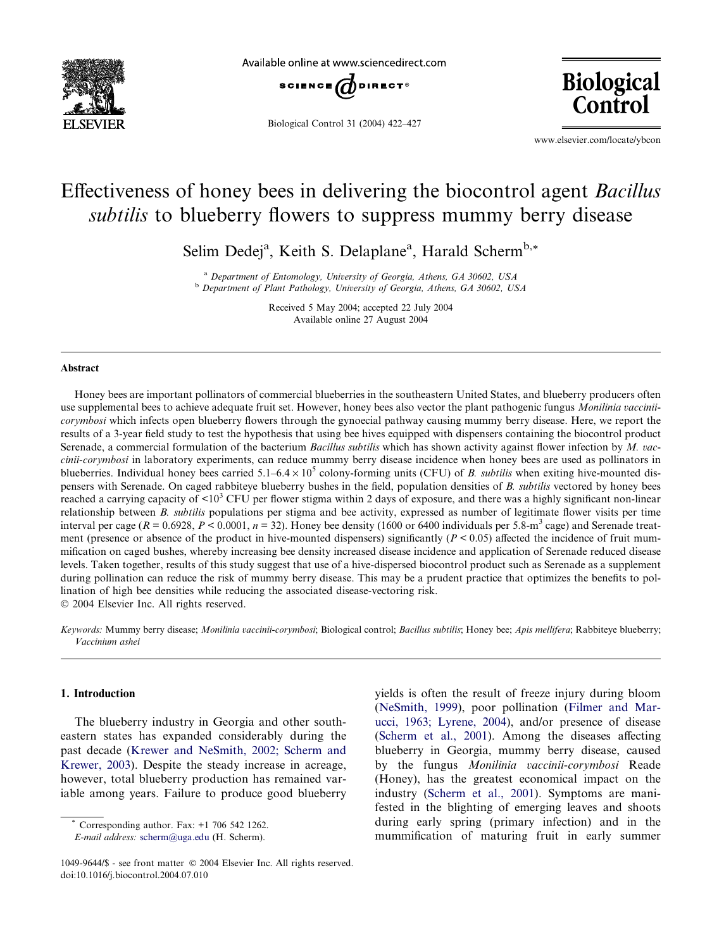

Available online at www.sciencedirect.com



Biological Control 31 (2004) 422–427

**Biological** Control

www.elsevier.com/locate/ybcon

# Effectiveness of honey bees in delivering the biocontrol agent Bacillus subtilis to blueberry flowers to suppress mummy berry disease

Selim Dedej<sup>a</sup>, Keith S. Delaplane<sup>a</sup>, Harald Scherm<sup>b,\*</sup>

<sup>a</sup> Department of Entomology, University of Georgia, Athens, GA 30602, USA <sup>b</sup> Department of Plant Pathology, University of Georgia, Athens, GA 30602, USA

> Received 5 May 2004; accepted 22 July 2004 Available online 27 August 2004

#### Abstract

Honey bees are important pollinators of commercial blueberries in the southeastern United States, and blueberry producers often use supplemental bees to achieve adequate fruit set. However, honey bees also vector the plant pathogenic fungus Monilinia vacciniicorymbosi which infects open blueberry flowers through the gynoecial pathway causing mummy berry disease. Here, we report the results of a 3-year field study to test the hypothesis that using bee hives equipped with dispensers containing the biocontrol product Serenade, a commercial formulation of the bacterium *Bacillus subtilis* which has shown activity against flower infection by  $M$ . vaccinii-corymbosi in laboratory experiments, can reduce mummy berry disease incidence when honey bees are used as pollinators in blueberries. Individual honey bees carried  $5.1-6.4 \times 10^5$  colony-forming units (CFU) of B. *subtilis* when exiting hive-mounted dispensers with Serenade. On caged rabbiteye blueberry bushes in the field, population densities of B. subtilis vectored by honey bees reached a carrying capacity of  $\langle 10^3 \text{ CFU} \rangle$  per flower stigma within 2 days of exposure, and there was a highly significant non-linear relationship between B. subtilis populations per stigma and bee activity, expressed as number of legitimate flower visits per time interval per cage ( $R = 0.6928$ ,  $P < 0.0001$ ,  $n = 32$ ). Honey bee density (1600 or 6400 individuals per 5.8-m<sup>3</sup> cage) and Serenade treatment (presence or absence of the product in hive-mounted dispensers) significantly  $(P < 0.05)$  affected the incidence of fruit mummification on caged bushes, whereby increasing bee density increased disease incidence and application of Serenade reduced disease levels. Taken together, results of this study suggest that use of a hive-dispersed biocontrol product such as Serenade as a supplement during pollination can reduce the risk of mummy berry disease. This may be a prudent practice that optimizes the benefits to pollination of high bee densities while reducing the associated disease-vectoring risk. 2004 Elsevier Inc. All rights reserved.

Keywords: Mummy berry disease; Monilinia vaccinii-corymbosi; Biological control; Bacillus subtilis; Honey bee; Apis mellifera; Rabbiteye blueberry; Vaccinium ashei

# 1. Introduction

The blueberry industry in Georgia and other southeastern states has expanded considerably during the past decade [\(Krewer and NeSmith, 2002; Scherm and](#page-5-0) [Krewer, 2003](#page-5-0)). Despite the steady increase in acreage, however, total blueberry production has remained variable among years. Failure to produce good blueberry

Corresponding author. Fax:  $+1$  706 542 1262.

E-mail address: [scherm@uga.edu](mailto:scherm@uga.edu ) (H. Scherm).

yields is often the result of freeze injury during bloom ([NeSmith, 1999\)](#page-5-0), poor pollination [\(Filmer and Mar](#page-5-0)[ucci, 1963; Lyrene, 2004\)](#page-5-0), and/or presence of disease ([Scherm et al., 2001\)](#page-5-0). Among the diseases affecting blueberry in Georgia, mummy berry disease, caused by the fungus Monilinia vaccinii-corymbosi Reade (Honey), has the greatest economical impact on the industry ([Scherm et al., 2001](#page-5-0)). Symptoms are manifested in the blighting of emerging leaves and shoots during early spring (primary infection) and in the mummification of maturing fruit in early summer

<sup>1049-9644/\$ -</sup> see front matter © 2004 Elsevier Inc. All rights reserved. doi:10.1016/j.biocontrol.2004.07.010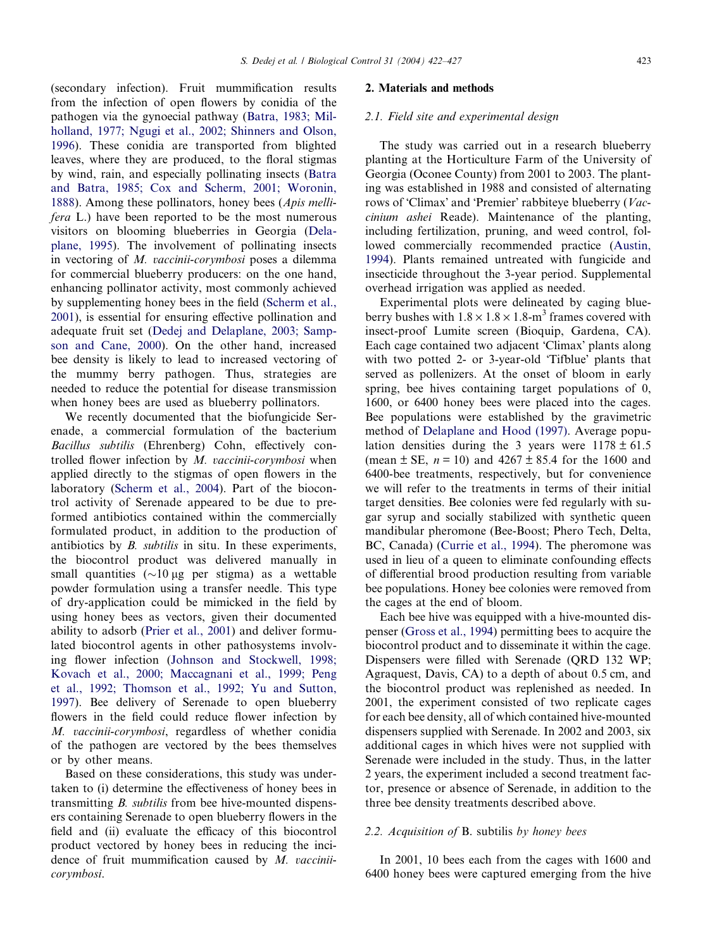(secondary infection). Fruit mummification results from the infection of open flowers by conidia of the pathogen via the gynoecial pathway [\(Batra, 1983; Mil](#page-5-0)[holland, 1977; Ngugi et al., 2002; Shinners and Olson,](#page-5-0) [1996](#page-5-0)). These conidia are transported from blighted leaves, where they are produced, to the floral stigmas by wind, rain, and especially pollinating insects ([Batra](#page-5-0) [and Batra, 1985; Cox and Scherm, 2001; Woronin,](#page-5-0) [1888](#page-5-0)). Among these pollinators, honey bees (Apis mellifera L.) have been reported to be the most numerous visitors on blooming blueberries in Georgia ([Dela](#page-5-0)[plane, 1995](#page-5-0)). The involvement of pollinating insects in vectoring of M. vaccinii-corymbosi poses a dilemma for commercial blueberry producers: on the one hand, enhancing pollinator activity, most commonly achieved by supplementing honey bees in the field ([Scherm et al.,](#page-5-0) [2001](#page-5-0)), is essential for ensuring effective pollination and adequate fruit set [\(Dedej and Delaplane, 2003; Samp](#page-5-0)[son and Cane, 2000\)](#page-5-0). On the other hand, increased bee density is likely to lead to increased vectoring of the mummy berry pathogen. Thus, strategies are needed to reduce the potential for disease transmission when honey bees are used as blueberry pollinators.

We recently documented that the biofungicide Serenade, a commercial formulation of the bacterium Bacillus subtilis (Ehrenberg) Cohn, effectively controlled flower infection by  $M.$  vaccinii-corymbosi when applied directly to the stigmas of open flowers in the laboratory ([Scherm et al., 2004](#page-5-0)). Part of the biocontrol activity of Serenade appeared to be due to preformed antibiotics contained within the commercially formulated product, in addition to the production of antibiotics by B. subtilis in situ. In these experiments, the biocontrol product was delivered manually in small quantities  $(\sim 10 \text{ µg per stigma})$  as a wettable powder formulation using a transfer needle. This type of dry-application could be mimicked in the field by using honey bees as vectors, given their documented ability to adsorb [\(Prier et al., 2001](#page-5-0)) and deliver formulated biocontrol agents in other pathosystems involving flower infection [\(Johnson and Stockwell, 1998;](#page-5-0) [Kovach et al., 2000; Maccagnani et al., 1999; Peng](#page-5-0) [et al., 1992; Thomson et al., 1992; Yu and Sutton,](#page-5-0) [1997](#page-5-0)). Bee delivery of Serenade to open blueberry flowers in the field could reduce flower infection by M. vaccinii-corymbosi, regardless of whether conidia of the pathogen are vectored by the bees themselves or by other means.

Based on these considerations, this study was undertaken to (i) determine the effectiveness of honey bees in transmitting B. subtilis from bee hive-mounted dispensers containing Serenade to open blueberry flowers in the field and (ii) evaluate the efficacy of this biocontrol product vectored by honey bees in reducing the incidence of fruit mummification caused by M. vacciniicorymbosi.

#### 2. Materials and methods

## 2.1. Field site and experimental design

The study was carried out in a research blueberry planting at the Horticulture Farm of the University of Georgia (Oconee County) from 2001 to 2003. The planting was established in 1988 and consisted of alternating rows of 'Climax' and 'Premier' rabbiteye blueberry (Vaccinium ashei Reade). Maintenance of the planting, including fertilization, pruning, and weed control, followed commercially recommended practice [\(Austin,](#page-5-0) [1994](#page-5-0)). Plants remained untreated with fungicide and insecticide throughout the 3-year period. Supplemental overhead irrigation was applied as needed.

Experimental plots were delineated by caging blueberry bushes with  $1.8 \times 1.8 \times 1.8$ -m<sup>3</sup> frames covered with insect-proof Lumite screen (Bioquip, Gardena, CA). Each cage contained two adjacent 'Climax' plants along with two potted 2- or 3-year-old 'Tifblue' plants that served as pollenizers. At the onset of bloom in early spring, bee hives containing target populations of 0, 1600, or 6400 honey bees were placed into the cages. Bee populations were established by the gravimetric method of [Delaplane and Hood \(1997\).](#page-5-0) Average population densities during the 3 years were  $1178 \pm 61.5$ (mean  $\pm$  SE,  $n = 10$ ) and 4267  $\pm$  85.4 for the 1600 and 6400-bee treatments, respectively, but for convenience we will refer to the treatments in terms of their initial target densities. Bee colonies were fed regularly with sugar syrup and socially stabilized with synthetic queen mandibular pheromone (Bee-Boost; Phero Tech, Delta, BC, Canada) ([Currie et al., 1994](#page-5-0)). The pheromone was used in lieu of a queen to eliminate confounding effects of differential brood production resulting from variable bee populations. Honey bee colonies were removed from the cages at the end of bloom.

Each bee hive was equipped with a hive-mounted dispenser ([Gross et al., 1994\)](#page-5-0) permitting bees to acquire the biocontrol product and to disseminate it within the cage. Dispensers were filled with Serenade (QRD 132 WP; Agraquest, Davis, CA) to a depth of about 0.5 cm, and the biocontrol product was replenished as needed. In 2001, the experiment consisted of two replicate cages for each bee density, all of which contained hive-mounted dispensers supplied with Serenade. In 2002 and 2003, six additional cages in which hives were not supplied with Serenade were included in the study. Thus, in the latter 2 years, the experiment included a second treatment factor, presence or absence of Serenade, in addition to the three bee density treatments described above.

#### 2.2. Acquisition of B. subtilis by honey bees

In 2001, 10 bees each from the cages with 1600 and 6400 honey bees were captured emerging from the hive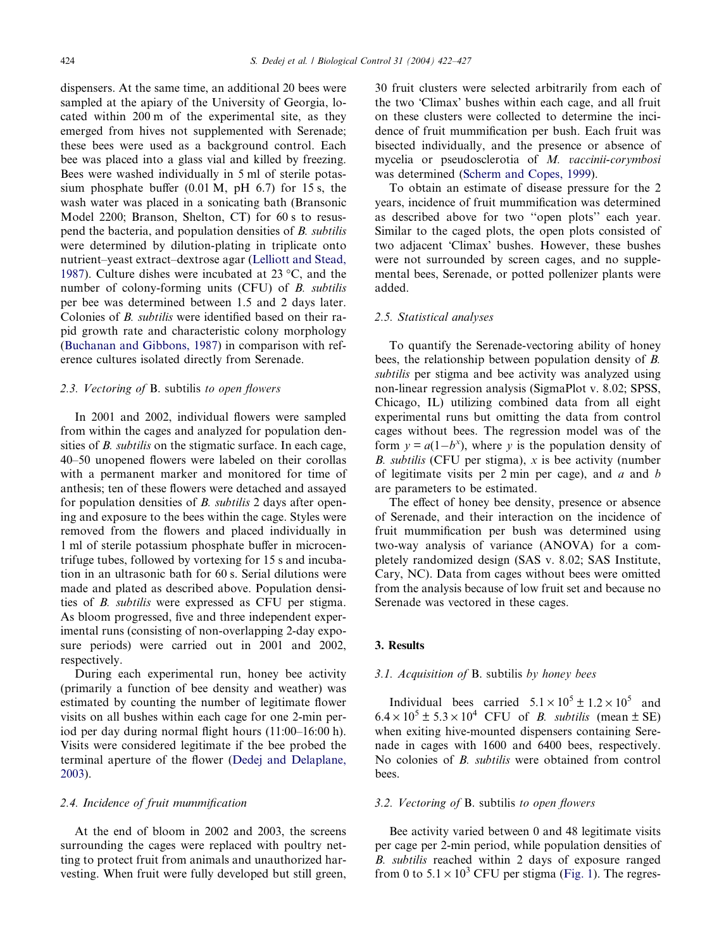dispensers. At the same time, an additional 20 bees were sampled at the apiary of the University of Georgia, located within 200 m of the experimental site, as they emerged from hives not supplemented with Serenade; these bees were used as a background control. Each bee was placed into a glass vial and killed by freezing. Bees were washed individually in 5 ml of sterile potassium phosphate buffer (0.01 M, pH 6.7) for 15 s, the wash water was placed in a sonicating bath (Bransonic Model 2200; Branson, Shelton, CT) for 60 s to resuspend the bacteria, and population densities of B. subtilis were determined by dilution-plating in triplicate onto nutrient–yeast extract–dextrose agar ([Lelliott and Stead,](#page-5-0) [1987\)](#page-5-0). Culture dishes were incubated at 23  $\mathrm{^{\circ}C}$ , and the number of colony-forming units (CFU) of B. subtilis per bee was determined between 1.5 and 2 days later. Colonies of B. subtilis were identified based on their rapid growth rate and characteristic colony morphology ([Buchanan and Gibbons, 1987\)](#page-5-0) in comparison with reference cultures isolated directly from Serenade.

# 2.3. Vectoring of B. subtilis to open flowers

In 2001 and 2002, individual flowers were sampled from within the cages and analyzed for population densities of *B. subtilis* on the stigmatic surface. In each cage, 40–50 unopened flowers were labeled on their corollas with a permanent marker and monitored for time of anthesis; ten of these flowers were detached and assayed for population densities of B. subtilis 2 days after opening and exposure to the bees within the cage. Styles were removed from the flowers and placed individually in 1 ml of sterile potassium phosphate buffer in microcentrifuge tubes, followed by vortexing for 15 s and incubation in an ultrasonic bath for 60 s. Serial dilutions were made and plated as described above. Population densities of B. subtilis were expressed as CFU per stigma. As bloom progressed, five and three independent experimental runs (consisting of non-overlapping 2-day exposure periods) were carried out in 2001 and 2002, respectively.

During each experimental run, honey bee activity (primarily a function of bee density and weather) was estimated by counting the number of legitimate flower visits on all bushes within each cage for one 2-min period per day during normal flight hours (11:00–16:00 h). Visits were considered legitimate if the bee probed the terminal aperture of the flower [\(Dedej and Delaplane,](#page-5-0) [2003\)](#page-5-0).

#### 2.4. Incidence of fruit mummification

At the end of bloom in 2002 and 2003, the screens surrounding the cages were replaced with poultry netting to protect fruit from animals and unauthorized harvesting. When fruit were fully developed but still green, 30 fruit clusters were selected arbitrarily from each of the two 'Climax' bushes within each cage, and all fruit on these clusters were collected to determine the incidence of fruit mummification per bush. Each fruit was bisected individually, and the presence or absence of mycelia or pseudosclerotia of M. vaccinii-corymbosi was determined [\(Scherm and Copes, 1999](#page-5-0)).

To obtain an estimate of disease pressure for the 2 years, incidence of fruit mummification was determined as described above for two ''open plots'' each year. Similar to the caged plots, the open plots consisted of two adjacent 'Climax' bushes. However, these bushes were not surrounded by screen cages, and no supplemental bees, Serenade, or potted pollenizer plants were added.

#### 2.5. Statistical analyses

To quantify the Serenade-vectoring ability of honey bees, the relationship between population density of B. subtilis per stigma and bee activity was analyzed using non-linear regression analysis (SigmaPlot v. 8.02; SPSS, Chicago, IL) utilizing combined data from all eight experimental runs but omitting the data from control cages without bees. The regression model was of the form  $y = a(1-b^x)$ , where y is the population density of B. subtilis (CFU per stigma),  $x$  is bee activity (number of legitimate visits per  $2 \text{ min}$  per cage), and  $a$  and  $b$ are parameters to be estimated.

The effect of honey bee density, presence or absence of Serenade, and their interaction on the incidence of fruit mummification per bush was determined using two-way analysis of variance (ANOVA) for a completely randomized design (SAS v. 8.02; SAS Institute, Cary, NC). Data from cages without bees were omitted from the analysis because of low fruit set and because no Serenade was vectored in these cages.

## 3. Results

# 3.1. Acquisition of B. subtilis by honey bees

Individual bees carried  $5.1 \times 10^5 \pm 1.2 \times 10^5$  and  $6.4 \times 10^5 \pm 5.3 \times 10^4$  CFU of *B. subtilis* (mean  $\pm$  SE) when exiting hive-mounted dispensers containing Serenade in cages with 1600 and 6400 bees, respectively. No colonies of B. *subtilis* were obtained from control bees.

#### 3.2. Vectoring of B. subtilis to open flowers

Bee activity varied between 0 and 48 legitimate visits per cage per 2-min period, while population densities of B. subtilis reached within 2 days of exposure ranged from 0 to  $5.1 \times 10^3$  CFU per stigma [\(Fig. 1](#page-3-0)). The regres-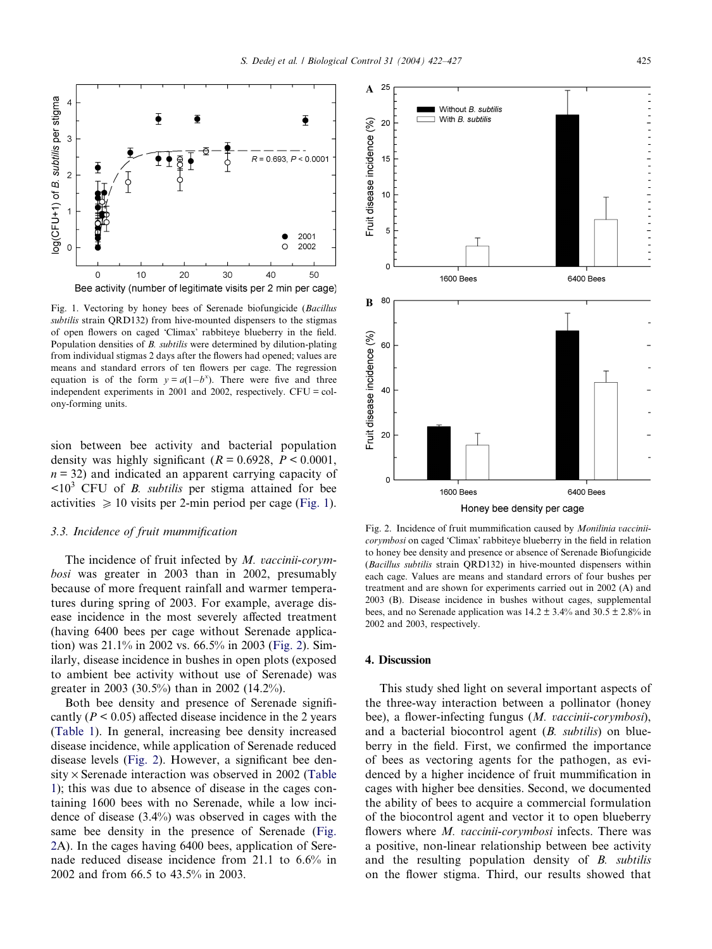<span id="page-3-0"></span>

Fig. 1. Vectoring by honey bees of Serenade biofungicide (Bacillus subtilis strain QRD132) from hive-mounted dispensers to the stigmas of open flowers on caged 'Climax' rabbiteye blueberry in the field. Population densities of B. subtilis were determined by dilution-plating from individual stigmas 2 days after the flowers had opened; values are means and standard errors of ten flowers per cage. The regression equation is of the form  $y = a(1-b^x)$ . There were five and three independent experiments in 2001 and 2002, respectively. CFU = colony-forming units.

sion between bee activity and bacterial population density was highly significant ( $R = 0.6928$ ,  $P < 0.0001$ ,  $n = 32$ ) and indicated an apparent carrying capacity of  $\langle 10^3 \text{ CFU of } B \rangle$ . *subtilis* per stigma attained for bee activities  $\geq 10$  visits per 2-min period per cage (Fig. 1).

# 3.3. Incidence of fruit mummification

The incidence of fruit infected by M. vaccinii-corymbosi was greater in 2003 than in 2002, presumably because of more frequent rainfall and warmer temperatures during spring of 2003. For example, average disease incidence in the most severely affected treatment (having 6400 bees per cage without Serenade application) was 21.1% in 2002 vs. 66.5% in 2003 (Fig. 2). Similarly, disease incidence in bushes in open plots (exposed to ambient bee activity without use of Serenade) was greater in 2003 (30.5%) than in 2002 (14.2%).

Both bee density and presence of Serenade significantly ( $P \le 0.05$ ) affected disease incidence in the 2 years ([Table 1](#page-4-0)). In general, increasing bee density increased disease incidence, while application of Serenade reduced disease levels (Fig. 2). However, a significant bee den $sity \times$  Serenade interaction was observed in 2002 [\(Table](#page-4-0) [1\)](#page-4-0); this was due to absence of disease in the cages containing 1600 bees with no Serenade, while a low incidence of disease (3.4%) was observed in cages with the same bee density in the presence of Serenade (Fig. 2A). In the cages having 6400 bees, application of Serenade reduced disease incidence from 21.1 to 6.6% in 2002 and from 66.5 to 43.5% in 2003.



Fig. 2. Incidence of fruit mummification caused by Monilinia vacciniicorymbosi on caged 'Climax' rabbiteye blueberry in the field in relation to honey bee density and presence or absence of Serenade Biofungicide (Bacillus subtilis strain QRD132) in hive-mounted dispensers within each cage. Values are means and standard errors of four bushes per treatment and are shown for experiments carried out in 2002 (A) and 2003 (B). Disease incidence in bushes without cages, supplemental bees, and no Serenade application was  $14.2 \pm 3.4\%$  and  $30.5 \pm 2.8\%$  in 2002 and 2003, respectively.

#### 4. Discussion

This study shed light on several important aspects of the three-way interaction between a pollinator (honey bee), a flower-infecting fungus (*M. vaccinii-corymbosi*), and a bacterial biocontrol agent (B. subtilis) on blueberry in the field. First, we confirmed the importance of bees as vectoring agents for the pathogen, as evidenced by a higher incidence of fruit mummification in cages with higher bee densities. Second, we documented the ability of bees to acquire a commercial formulation of the biocontrol agent and vector it to open blueberry flowers where *M. vaccinii-corymbosi* infects. There was a positive, non-linear relationship between bee activity and the resulting population density of B. subtilis on the flower stigma. Third, our results showed that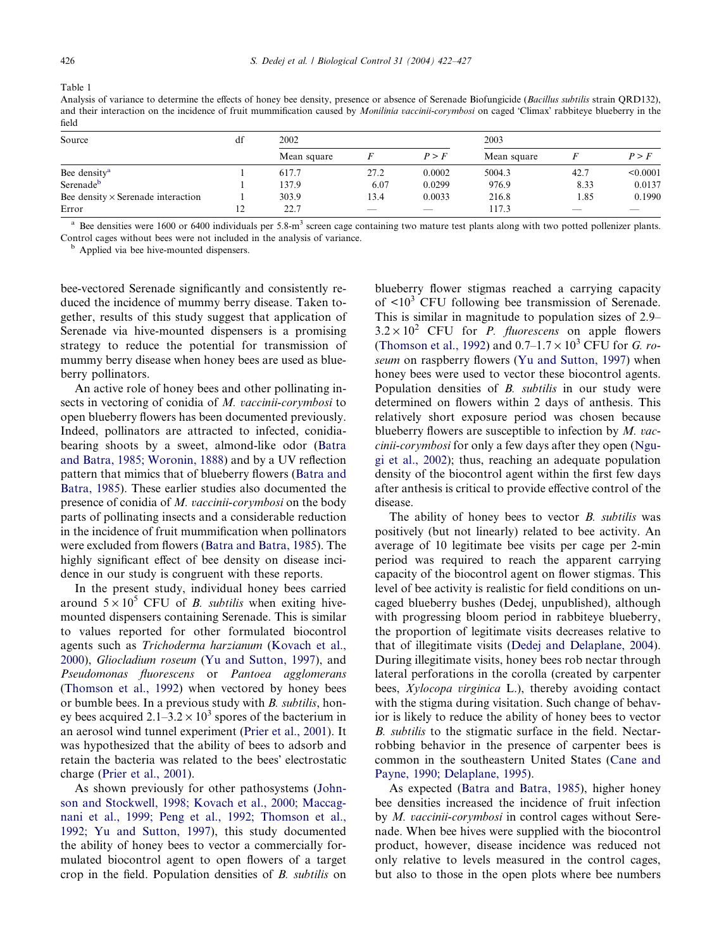<span id="page-4-0"></span>Table 1

Analysis of variance to determine the effects of honey bee density, presence or absence of Serenade Biofungicide (Bacillus subtilis strain ORD132), and their interaction on the incidence of fruit mummification caused by *Monilinia vaccinii-corymbosi* on caged 'Climax' rabbiteye blueberry in the field

| Source                                    | df | 2002        |      |        | 2003        |      |          |
|-------------------------------------------|----|-------------|------|--------|-------------|------|----------|
|                                           |    | Mean square |      | P > F  | Mean square |      | P > F    |
| Bee density <sup>a</sup>                  |    | 617.7       | 27.2 | 0.0002 | 5004.3      | 42.7 | < 0.0001 |
| Serenade <sup>b</sup>                     |    | 137.9       | 6.07 | 0.0299 | 976.9       | 8.33 | 0.0137   |
| Bee density $\times$ Serenade interaction |    | 303.9       | 13.4 | 0.0033 | 216.8       | 1.85 | 0.1990   |
| Error                                     | 12 | 22.7        | _    | _      | 117.3       | _    |          |

<sup>a</sup> Bee densities were 1600 or 6400 individuals per 5.8-m<sup>3</sup> screen cage containing two mature test plants along with two potted pollenizer plants. Control cages without bees were not included in the analysis of variance. <sup>b</sup> Applied via bee hive-mounted dispensers.

bee-vectored Serenade significantly and consistently reduced the incidence of mummy berry disease. Taken together, results of this study suggest that application of Serenade via hive-mounted dispensers is a promising strategy to reduce the potential for transmission of mummy berry disease when honey bees are used as blueberry pollinators.

An active role of honey bees and other pollinating insects in vectoring of conidia of M. vaccinii-corymbosi to open blueberry flowers has been documented previously. Indeed, pollinators are attracted to infected, conidiabearing shoots by a sweet, almond-like odor ([Batra](#page-5-0) [and Batra, 1985; Woronin, 1888](#page-5-0)) and by a UV reflection pattern that mimics that of blueberry flowers [\(Batra and](#page-5-0) [Batra, 1985](#page-5-0)). These earlier studies also documented the presence of conidia of M. vaccinii-corymbosi on the body parts of pollinating insects and a considerable reduction in the incidence of fruit mummification when pollinators were excluded from flowers ([Batra and Batra, 1985\)](#page-5-0). The highly significant effect of bee density on disease incidence in our study is congruent with these reports.

In the present study, individual honey bees carried around  $5 \times 10^5$  CFU of *B. subtilis* when exiting hivemounted dispensers containing Serenade. This is similar to values reported for other formulated biocontrol agents such as Trichoderma harzianum ([Kovach et al.,](#page-5-0) [2000\)](#page-5-0), Gliocladium roseum [\(Yu and Sutton, 1997\)](#page-5-0), and Pseudomonas fluorescens or Pantoea agglomerans ([Thomson et al., 1992\)](#page-5-0) when vectored by honey bees or bumble bees. In a previous study with B. subtilis, honey bees acquired  $2.1-3.2 \times 10^3$  spores of the bacterium in an aerosol wind tunnel experiment [\(Prier et al., 2001\)](#page-5-0). It was hypothesized that the ability of bees to adsorb and retain the bacteria was related to the bees' electrostatic charge [\(Prier et al., 2001\)](#page-5-0).

As shown previously for other pathosystems [\(John](#page-5-0)[son and Stockwell, 1998; Kovach et al., 2000; Maccag](#page-5-0)[nani et al., 1999; Peng et al., 1992; Thomson et al.,](#page-5-0) [1992; Yu and Sutton, 1997](#page-5-0)), this study documented the ability of honey bees to vector a commercially formulated biocontrol agent to open flowers of a target crop in the field. Population densities of B. subtilis on blueberry flower stigmas reached a carrying capacity of  $\langle 10^3 \text{ CFU} \rangle$  following bee transmission of Serenade. This is similar in magnitude to population sizes of 2.9–  $3.2 \times 10^2$  CFU for *P. fluorescens* on apple flowers ([Thomson et al., 1992](#page-5-0)) and  $0.7-1.7 \times 10^3$  CFU for *G. ro*seum on raspberry flowers [\(Yu and Sutton, 1997\)](#page-5-0) when honey bees were used to vector these biocontrol agents. Population densities of B. subtilis in our study were determined on flowers within 2 days of anthesis. This relatively short exposure period was chosen because blueberry flowers are susceptible to infection by  $M.$  vaccinii-corymbosi for only a few days after they open ([Ngu](#page-5-0)[gi et al., 2002\)](#page-5-0); thus, reaching an adequate population density of the biocontrol agent within the first few days after anthesis is critical to provide effective control of the disease.

The ability of honey bees to vector *B. subtilis* was positively (but not linearly) related to bee activity. An average of 10 legitimate bee visits per cage per 2-min period was required to reach the apparent carrying capacity of the biocontrol agent on flower stigmas. This level of bee activity is realistic for field conditions on uncaged blueberry bushes (Dedej, unpublished), although with progressing bloom period in rabbiteye blueberry, the proportion of legitimate visits decreases relative to that of illegitimate visits ([Dedej and Delaplane, 2004\)](#page-5-0). During illegitimate visits, honey bees rob nectar through lateral perforations in the corolla (created by carpenter bees, Xylocopa virginica L.), thereby avoiding contact with the stigma during visitation. Such change of behavior is likely to reduce the ability of honey bees to vector B. subtilis to the stigmatic surface in the field. Nectarrobbing behavior in the presence of carpenter bees is common in the southeastern United States [\(Cane and](#page-5-0) [Payne, 1990; Delaplane, 1995\)](#page-5-0).

As expected ([Batra and Batra, 1985](#page-5-0)), higher honey bee densities increased the incidence of fruit infection by M. vaccinii-corymbosi in control cages without Serenade. When bee hives were supplied with the biocontrol product, however, disease incidence was reduced not only relative to levels measured in the control cages, but also to those in the open plots where bee numbers